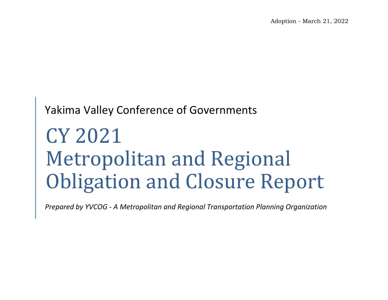## Yakima Valley Conference of Governments

# CY 2021 Metropolitan and Regional Obligation and Closure Report

*Prepared by YVCOG - A Metropolitan and Regional Transportation Planning Organization*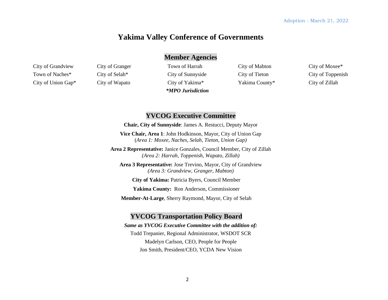#### **Yakima Valley Conference of Governments**

#### **Member Agencies**

City of Grandview Town of Naches\* City of Union Gap\*

City of Granger City of Selah\* City of Wapato

Town of Harrah City of Sunnyside City of Yakima\* *\*MPO Jurisdiction*  City of Mabton City of Tieton Yakima County\* City of Moxee\* City of Toppenish City of Zillah

#### **YVCOG Executive Committee**

**Chair, City of Sunnyside**: James A. Restucci, Deputy Mayor

**Vice Chair, Area 1**: John Hodkinson, Mayor, City of Union Gap (*Area 1: Moxee, Naches, Selah, Tieton, Union Gap)* 

**Area 2 Representative:** Janice Gonzales, Council Member, City of Zillah *(Area 2: Harrah, Toppenish, Wapato, Zillah)* 

**Area 3 Representative:** Jose Trevino, Mayor, City of Grandview *(Area 3: Grandview, Granger, Mabton)* 

**City of Yakima:** Patricia Byers, Council Member

**Yakima County:** Ron Anderson, Commissioner

**Member-At-Large**, Sherry Raymond, Mayor, City of Selah

#### **YVCOG Transportation Policy Board**

*Same as YVCOG Executive Committee with the addition of:*  Todd Trepanier, Regional Administrator, WSDOT SCR Madelyn Carlson, CEO, People for People Jon Smith, President/CEO, YCDA New Vision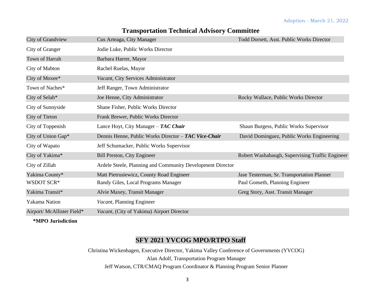| City of Grandview          | Cus Arteaga, City Manager                                  | Todd Dorsett, Asst. Public Works Director       |
|----------------------------|------------------------------------------------------------|-------------------------------------------------|
| City of Granger            | Jodie Luke, Public Works Director                          |                                                 |
| Town of Harrah             | Barbara Harrer, Mayor                                      |                                                 |
| City of Mabton             | Rachel Ruelas, Mayor                                       |                                                 |
| City of Moxee*             | Vacant, City Services Administrator                        |                                                 |
| Town of Naches*            | Jeff Ranger, Town Administrator                            |                                                 |
| City of Selah*             | Joe Henne, City Administrator                              | Rocky Wallace, Public Works Director            |
| City of Sunnyside          | Shane Fisher, Public Works Director                        |                                                 |
| City of Tieton             | Frank Brewer, Public Works Director                        |                                                 |
| City of Toppenish          | Lance Hoyt, City Manager $-$ TAC Chair                     | Shaun Burgess, Public Works Supervisor          |
| City of Union Gap*         | Dennis Henne, Public Works Director - TAC Vice-Chair       | David Dominguez, Public Works Engineering       |
| City of Wapato             | Jeff Schumacker, Public Works Supervisor                   |                                                 |
| City of Yakima*            | Bill Preston, City Engineer                                | Robert Washabaugh, Supervising Traffic Engineer |
| City of Zillah             | Ardele Steele, Planning and Community Development Director |                                                 |
| Yakima County*             | Matt Pietrusiewicz, County Road Engineer                   | Jase Testerman, Sr. Transportation Planner      |
| WSDOT SCR*                 | Randy Giles, Local Programs Manager                        | Paul Gonseth, Planning Engineer                 |
| Yakima Transit*            | Alvie Maxey, Transit Manager                               | Greg Story, Asst. Transit Manager               |
| Yakama Nation              | Vacant, Planning Engineer                                  |                                                 |
| Airport/ McAllister Field* | Vacant, (City of Yakima) Airport Director                  |                                                 |

#### **Transportation Technical Advisory Committee**

**\*MPO Jurisdiction** 

#### **SFY 2021 YVCOG MPO/RTPO Staff**

 Alan Adolf, Transportation Program Manager Christina Wickenhagen, Executive Director, Yakima Valley Conference of Governments (YVCOG) Jeff Watson, CTR/CMAQ Program Coordinator & Planning Program Senior Planner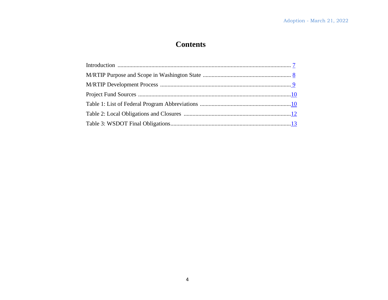### **Contents**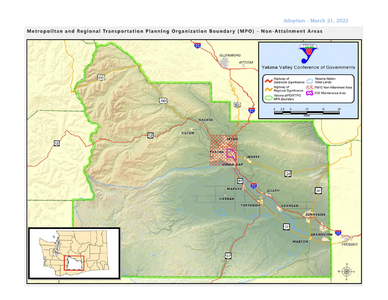

Metropolitan and Regional Transportation Planning Organization Boundary (MPO) - Non-Attainment Areas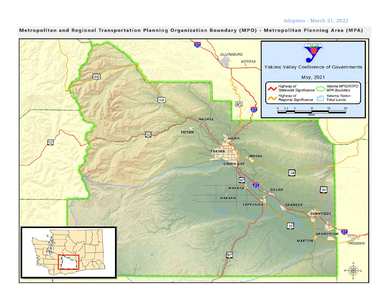

Metropolitan and Regional Transportation Planning Organization Boundary (MPO) - Metropolitan Planning Area (MPA)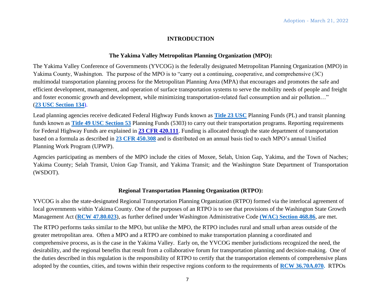#### **INTRODUCTION**

#### **The Yakima Valley Metropolitan Planning Organization (MPO):**

The Yakima Valley Conference of Governments (YVCOG) is the federally designated Metropolitan Planning Organization (MPO) in Yakima County, Washington. The purpose of the MPO is to "carry out a continuing, cooperative, and comprehensive (3C) multimodal transportation planning process for the Metropolitan Planning Area (MPA) that encourages and promotes the safe and efficient development, management, and operation of surface transportation systems to serve the mobility needs of people and freight and foster economic growth and development, while minimizing transportation-related fuel consumption and air pollution…" (**23 USC Section 134**).

Lead planning agencies receive dedicated Federal Highway Funds known as **Title 23 USC** Planning Funds (PL) and transit planning funds known as **Title 49 USC Section 53** Planning Funds (5303) to carry out their transportation programs. Reporting requirements for Federal Highway Funds are explained in **23 CFR 420.111**. Funding is allocated through the state department of transportation based on a formula as described in **23 CFR 450.308** and is distributed on an annual basis tied to each MPO's annual Unified Planning Work Program (UPWP).

 Yakima County; Selah Transit, Union Gap Transit, and Yakima Transit; and the Washington State Department of Transportation Agencies participating as members of the MPO include the cities of Moxee, Selah, Union Gap, Yakima, and the Town of Naches; (WSDOT).

#### **Regional Transportation Planning Organization (RTPO):**

YVCOG is also the state-designated Regional Transportation Planning Organization (RTPO) formed via the interlocal agreement of local governments within Yakima County. One of the purposes of an RTPO is to see that provisions of the Washington State Growth Management Act (**RCW 47.80.023**), as further defined under Washington Administrative Code **(WAC) Section 468.86**, are met.

 adopted by the counties, cities, and towns within their respective regions conform to the requirements of **RCW 36.70A.070.** RTPOs The RTPO performs tasks similar to the MPO, but unlike the MPO, the RTPO includes rural and small urban areas outside of the greater metropolitan area. Often a MPO and a RTPO are combined to make transportation planning a coordinated and comprehensive process, as is the case in the Yakima Valley. Early on, the YVCOG member jurisdictions recognized the need, the desirability, and the regional benefits that result from a collaborative forum for transportation planning and decision-making. One of the duties described in this regulation is the responsibility of RTPO to certify that the transportation elements of comprehensive plans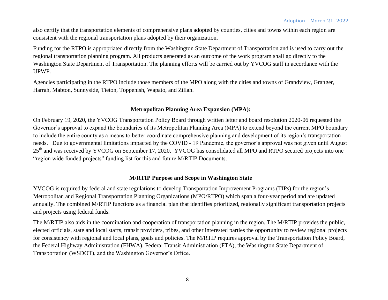<span id="page-7-0"></span>also certify that the transportation elements of comprehensive plans adopted by counties, cities and towns within each region are consistent with the regional transportation plans adopted by their organization.

Funding for the RTPO is appropriated directly from the Washington State Department of Transportation and is used to carry out the regional transportation planning program. All products generated as an outcome of the work program shall go directly to the Washington State Department of Transportation. The planning efforts will be carried out by YVCOG staff in accordance with the UPWP.

Agencies participating in the RTPO include those members of the MPO along with the cities and towns of Grandview, Granger, Harrah, Mabton, Sunnyside, Tieton, Toppenish, Wapato, and Zillah.

#### **Metropolitan Planning Area Expansion (MPA):**

 needs. Due to governmental limitations impacted by the COVID - 19 Pandemic, the governor's approval was not given until August On February 19, 2020, the YVCOG Transportation Policy Board through written letter and board resolution 2020-06 requested the Governor's approval to expand the boundaries of its Metropolitan Planning Area (MPA) to extend beyond the current MPO boundary to include the entire county as a means to better coordinate comprehensive planning and development of its region's transportation 25<sup>th</sup> and was received by YVCOG on September 17, 2020. YVCOG has consolidated all MPO and RTPO secured projects into one "region wide funded projects" funding list for this and future M/RTIP Documents.

#### **M/RTIP Purpose and Scope in Washington State**

YVCOG is required by federal and state regulations to develop Transportation Improvement Programs (TIPs) for the region's Metropolitan and Regional Transportation Planning Organizations (MPO/RTPO) which span a four-year period and are updated annually. The combined M/RTIP functions as a financial plan that identifies prioritized, regionally significant transportation projects and projects using federal funds.

The M/RTIP also aids in the coordination and cooperation of transportation planning in the region. The M/RTIP provides the public, elected officials, state and local staffs, transit providers, tribes, and other interested parties the opportunity to review regional projects for consistency with regional and local plans, goals and policies. The M/RTIP requires approval by the Transportation Policy Board, the Federal Highway Administration (FHWA), Federal Transit Administration (FTA), the Washington State Department of Transportation (WSDOT), and the Washington Governor's Office.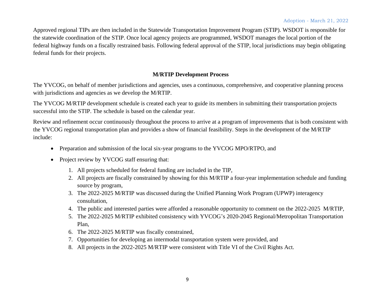<span id="page-8-0"></span>Approved regional TIPs are then included in the Statewide Transportation Improvement Program (STIP). WSDOT is responsible for the statewide coordination of the STIP. Once local agency projects are programmed, WSDOT manages the local portion of the federal highway funds on a fiscally restrained basis. Following federal approval of the STIP, local jurisdictions may begin obligating federal funds for their projects.

#### **M/RTIP Development Process**

The YVCOG, on behalf of member jurisdictions and agencies, uses a continuous, comprehensive, and cooperative planning process with jurisdictions and agencies as we develop the M/RTIP.

The YVCOG M/RTIP development schedule is created each year to guide its members in submitting their transportation projects successful into the STIP. The schedule is based on the calendar year.

Review and refinement occur continuously throughout the process to arrive at a program of improvements that is both consistent with the YVCOG regional transportation plan and provides a show of financial feasibility. Steps in the development of the M/RTIP include:

- Preparation and submission of the local six-year programs to the YVCOG MPO/RTPO, and
- Project review by YVCOG staff ensuring that:
	- 1. All projects scheduled for federal funding are included in the TIP,
	- 2. All projects are fiscally constrained by showing for this M/RTIP a four-year implementation schedule and funding source by program,
	- 3. The 2022-2025 M/RTIP was discussed during the Unified Planning Work Program (UPWP) interagency consultation,
	- 4. The public and interested parties were afforded a reasonable opportunity to comment on the 2022-2025 M/RTIP,
	- 5. The 2022-2025 M/RTIP exhibited consistency with YVCOG's 2020-2045 Regional/Metropolitan Transportation Plan,
	- 6. The 2022-2025 M/RTIP was fiscally constrained,
	- 7. Opportunities for developing an intermodal transportation system were provided, and
	- 8. All projects in the 2022-2025 M/RTIP were consistent with Title VI of the Civil Rights Act.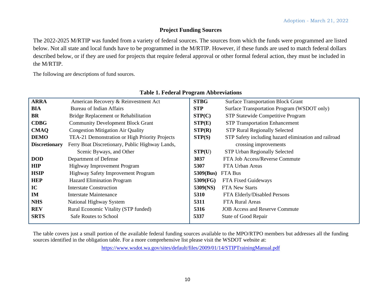#### **Project Funding Sources**

The 2022-2025 M/RTIP was funded from a variety of federal sources. The sources from which the funds were programmed are listed below. Not all state and local funds have to be programmed in the M/RTIP. However, if these funds are used to match federal dollars described below, or if they are used for projects that require federal approval or other formal federal action, they must be included in the M/RTIP.

The following are descriptions of fund sources.

| <b>ARRA</b>          | American Recovery & Reinvestment Act            | <b>STBG</b> | <b>Surface Transportation Block Grant</b>            |
|----------------------|-------------------------------------------------|-------------|------------------------------------------------------|
| <b>BIA</b>           | Bureau of Indian Affairs                        | <b>STP</b>  | Surface Transportation Program (WSDOT only)          |
| <b>BR</b>            | Bridge Replacement or Rehabilitation            | STP(C)      | STP Statewide Competitive Program                    |
| <b>CDBG</b>          | <b>Community Development Block Grant</b>        | STP(E)      | <b>STP Transportation Enhancement</b>                |
| <b>CMAQ</b>          | <b>Congestion Mitigation Air Quality</b>        |             | <b>STP Rural Regionally Selected</b>                 |
| <b>DEMO</b>          | TEA-21 Demonstration or High Priority Projects  | STP(S)      | STP Safety including hazard elimination and railroad |
| <b>Discretionary</b> | Ferry Boat Discretionary, Public Highway Lands, |             | crossing improvements                                |
|                      | Scenic Byways, and Other                        | STP(U)      | STP Urban Regionally Selected                        |
| <b>DOD</b>           | Department of Defense                           | 3037        | FTA Job Access/Reverse Commute                       |
| <b>HIP</b>           | Highway Improvement Program                     | 5307        | FTA Urban Areas                                      |
| <b>HSIP</b>          | <b>Highway Safety Improvement Program</b>       | 5309(Bus)   | FTA Bus                                              |
| <b>HEP</b>           | <b>Hazard Elimination Program</b>               | 5309(FG)    | FTA Fixed Guideways                                  |
| IC                   | <b>Interstate Construction</b>                  | 5309(NS)    | <b>FTA New Starts</b>                                |
| IM                   | <b>Interstate Maintenance</b>                   | 5310        | FTA Elderly/Disabled Persons                         |
| <b>NHS</b>           | National Highway System                         | 5311        | FTA Rural Areas                                      |
| <b>REV</b>           | Rural Economic Vitality (STP funded)            | 5316        | <b>JOB</b> Access and Reserve Commute                |
| <b>SRTS</b>          | Safe Routes to School                           | 5337        | State of Good Repair                                 |

#### **Table 1. Federal Program Abbreviations**

 The table covers just a small portion of the available federal funding sources available to the MPO/RTPO members but addresses all the funding sources identified in the obligation table. For a more comprehensive list please visit the WSDOT website at:

<https://www.wsdot.wa.gov/sites/default/files/2009/01/14/STIPTrainingManual.pdf>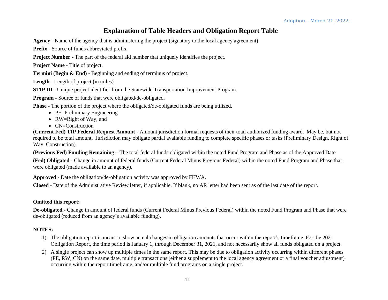#### **Explanation of Table Headers and Obligation Report Table**

**Agency -** Name of the agency that is administering the project (signatory to the local agency agreement)

**Prefix** - Source of funds abbreviated prefix

**Project Number** - The part of the federal aid number that uniquely identifies the project.

**Project Name** - Title of project.

**Termini (Begin & End)** - Beginning and ending of terminus of project.

**Length** - Length of project (in miles)

**STIP ID** - Unique project identifier from the Statewide Transportation Improvement Program.

**Program** - Source of funds that were obligated/de-obligated.

**Phase** - The portion of the project where the obligated/de-obligated funds are being utilized.

- PE=Preliminary Engineering
- RW=Right of Way; and
- CN=Construction

 **(Current Fed) TIP Federal Request Amount** - Amount jurisdiction formal requests of their total authorized funding award. May be, but not required to be total amount. Jurisdiction may obligate partial available funding to complete specific phases or tasks (Preliminary Design, Right of Way, Construction).

**(Previous Fed) Funding Remaining** – The total federal funds obligated within the noted Fund Program and Phase as of the Approved Date

**(Fed) Obligated** - Change in amount of federal funds (Current Federal Minus Previous Federal) within the noted Fund Program and Phase that were obligated (made available to an agency).

**Approved** - Date the obligation/de-obligation activity was approved by FHWA.

**Closed** - Date of the Administrative Review letter, if applicable. If blank, no AR letter had been sent as of the last date of the report.

#### **Omitted this report:**

 **De-obligated -** Change in amount of federal funds (Current Federal Minus Previous Federal) within the noted Fund Program and Phase that were de-obligated (reduced from an agency's available funding).

#### **NOTES:**

- 1) The obligation report is meant to show actual changes in obligation amounts that occur within the report's timeframe. For the 2021 Obligation Report, the time period is January 1, through December 31, 2021, and not necessarily show all funds obligated on a project.
- (PE, RW, CN) on the same date, multiple transactions (either a supplement to the local agency agreement or a final voucher adjustment) 2) A single project can show up multiple times in the same report. This may be due to obligation activity occurring within different phases occurring within the report timeframe, and/or multiple fund programs on a single project.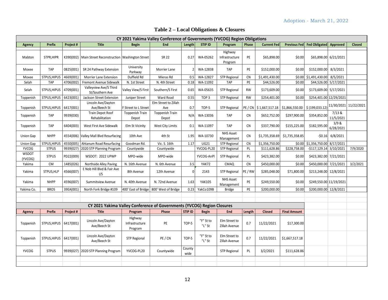Adoption - March 21, 2022

<span id="page-11-0"></span>

| CY 2021 Yakima Valley Conference of Governments (YVCOG) Region Obligations |                                                                                                                                                                |           |                                                                         |                                      |                                 |                |                     |                                      |                        |                      |                                  |                                |                       |                       |
|----------------------------------------------------------------------------|----------------------------------------------------------------------------------------------------------------------------------------------------------------|-----------|-------------------------------------------------------------------------|--------------------------------------|---------------------------------|----------------|---------------------|--------------------------------------|------------------------|----------------------|----------------------------------|--------------------------------|-----------------------|-----------------------|
| Agency                                                                     | <b>Current Fed</b><br><b>Title</b><br>End<br><b>STIP ID</b><br><b>Prefix</b><br>Project #<br>Length<br>Program<br>Phase<br><b>Previous Fed</b><br><b>Begin</b> |           |                                                                         |                                      |                                 |                |                     |                                      | Fed Obligated Approved |                      | <b>Closed</b>                    |                                |                       |                       |
| Mabton                                                                     | STPR.HIPR                                                                                                                                                      |           | K390(002)   Main Street Reconstruction   Washington Street              |                                      | <b>SR 22</b>                    | 0.27           | WA-05262            | Highway<br>Infrastructure<br>Program | PE                     | \$65,898.00          | \$0.00                           |                                | \$65,898.00 6/21/2021 |                       |
| Moxee                                                                      | <b>TAP</b>                                                                                                                                                     | 0825(001) | SR 24 Pathway Extension                                                 | University<br>Parkway                | Morrier Lane                    | 2 <sup>1</sup> | WA-12838            | <b>TAP</b>                           | PE                     | \$152,000.00         | \$0.00                           | \$152,000.00 8/3/2021          |                       |                       |
| Moxee                                                                      | STPUS, HIPUS                                                                                                                                                   | 4669(001) | Morrier Lane Extension                                                  | Duffield Rd                          | Mieras Rd                       | 0.5            | WA-12827            | <b>STP Regional</b>                  | <b>CN</b>              | \$1,491,430.00       |                                  | \$0.00 \$1,491,430.00 8/5/2021 |                       |                       |
| Selah                                                                      | <b>TAP</b>                                                                                                                                                     | 4706(002) | Fremont Avenue Sidewalk                                                 | N. 1st Street                        | N. 4th Street                   | 0.18           | WA-11092            | <b>TAP</b>                           | PE                     | \$44,526.00          | \$0.00                           | \$44,526.00 5/17/2021          |                       |                       |
| Selah                                                                      | STPUS, HIPUS                                                                                                                                                   | 4709(001) | Valleyview Ave/S Third<br>St/Southern Ave                               | Valley View/S First                  | Southern/S First                | 0.65           | WA-05635            | <b>STP Regional</b>                  | <b>RW</b>              | \$173,609.00         | \$0.00                           | \$173,609.00 5/17/2021         |                       |                       |
| Toppenish                                                                  | STPUS, HIPUS                                                                                                                                                   | 6423(001) | Jackson Street Extension                                                | Juniper Street                       | Ward Road                       | 0.55           | TOP <sub>3</sub>    | <b>STP Regional</b>                  | <b>RW</b>              | \$254,401.00         | \$0.00                           | \$254,401.00 12/29/2021        |                       |                       |
| Toppenish                                                                  | STPUS, HIPUS   6417(001)                                                                                                                                       |           | Lincoln Ave/Dayton<br>Ave/Beech St                                      | F Street to L Street                 | Elm Street to Zillah<br>Ave     | 0.7            | TOP-5               | STP Regional                         |                        | PE/CN \$1,667,517.18 | $$1,866,550.00$ $$ (199,033.12)$ |                                |                       | 11/30/2021 11/22/2021 |
| Toppenish                                                                  | TAP                                                                                                                                                            | 9939(030) | Train Depot Roof<br>Rehabilitation                                      | <b>Toppenish Train</b><br>Depot      | <b>Toppenish Train</b><br>Depot | N/A            | WA-13036            | <b>TAP</b>                           | <b>CN</b>              | \$652,752.00         | \$297,900.00                     | \$354,852.00                   | 7/13 &<br>11/5/2021   |                       |
| Toppenish                                                                  | TAP                                                                                                                                                            | 6404(003) | West First Ave Sidewalk                                                 | Elm St Vicinity                      | West City Limits                | 0.1            | WA-11097            | <b>TAP</b>                           | <b>CN</b>              | \$337,790.00         | \$155,225.00                     | \$182,595.00                   | 3/9 &<br>6/28/2021    |                       |
| Union Gap                                                                  | <b>NHPP</b>                                                                                                                                                    |           | 4554(006) Valley Mall Blvd Resurfacing                                  | 10th Ave                             | 4th St                          | 1.95           | WA-10730            | <b>NHS Asset</b><br>Management       | <b>CN</b>              | \$1,735,358.69       | \$1,735,358.85                   |                                | $-50.16$ 6/8/2021     |                       |
| Union Gap                                                                  | STPUS, HIPUS                                                                                                                                                   | 4550(005) | Ahtanum Road Resurfacing                                                | Goodman Rd.                          | Vic. S. 16th                    | 1.17           | UG21                | <b>STP Regional</b>                  | <b>CN</b>              | \$1,356,750.00       | \$0.00                           | \$1,356,750.00 8/17/2021       |                       |                       |
| <b>YVCOG</b>                                                               | <b>STPUS</b>                                                                                                                                                   | 9939(027) | 2020 STP Planning Program                                               | Countywide                           | Countywide                      |                | YVCOG-PL20          | <b>STP Regional</b>                  | PL                     | \$111,628.86         | \$228,758.00                     | $-$117,129.14$ 3/10/2021       |                       | 7/9/2020              |
| <b>WSDOT</b><br>(YVCOG)                                                    | <b>STPUS</b>                                                                                                                                                   | PD22(009) | WSDOT: 2022 UPWP                                                        | MPO-wide                             | MPO-wide                        |                | YVCOG-AnPl          | <b>STP Regional</b>                  | PL                     | \$423,382.00         | \$0.00                           | \$423,382.00 7/21/2021         |                       |                       |
| Yakima                                                                     | <b>CM</b>                                                                                                                                                      | 1485(026) | Northside Alley Paving                                                  | N. 16th Avenue                       | N. 6th Avenue                   | 3.5            | YAK72               | CMAQ                                 | <b>CN</b>              | \$450,000.00         | \$0.00                           | \$450,000.00 7/21/2021         |                       | 3/2/2021              |
| Yakima                                                                     | STPUS, HLP                                                                                                                                                     | 4566(007) | E Nob Hill Blvd & Fair Ave<br>I/S                                       | 8th Avenue                           | 12th Avenue                     | $\mathbf{0}$   | 2143                | <b>STP Regional</b>                  | PE/RW                  | \$285,048.00         | \$71,800.00                      | \$213,248.00 12/8/2021         |                       |                       |
| Yakima                                                                     | <b>NHPP</b>                                                                                                                                                    | 4596(007) | Summitview Avenue                                                       | N. 40th Avenue                       | N. 72nd Avenue                  | 1.63           | <b>YAK105</b>       | <b>NHS Asset</b><br>Management       | PE                     | \$249,550.00         | \$0.00                           | \$249,550.00 11/19/2021        |                       |                       |
| Yakima Co.                                                                 | <b>BROS</b>                                                                                                                                                    | 39EA(001) | North Fork Bridge #109                                                  | 400' East of Bridge                  | 800' West of Bridge             | 0.23           | YakCo109B           | <b>Bridge</b>                        | PE                     | \$200,000.00         | \$0.00                           | \$200,000.00 12/8/2021         |                       |                       |
|                                                                            |                                                                                                                                                                |           |                                                                         |                                      |                                 |                |                     |                                      |                        |                      |                                  |                                |                       |                       |
|                                                                            |                                                                                                                                                                |           | CY 2021 Yakima Valley Conference of Governments (YVCOG) Region Closures |                                      |                                 |                |                     |                                      |                        |                      |                                  |                                |                       |                       |
| <b>Agency</b>                                                              | <b>Prefix</b>                                                                                                                                                  | Project # | <b>Title</b>                                                            | Program                              | Phase                           | <b>STIP ID</b> | <b>Begin</b>        | End                                  | Length                 | <b>Closed</b>        | <b>Final Amount</b>              |                                |                       |                       |
|                                                                            |                                                                                                                                                                |           |                                                                         |                                      |                                 |                |                     |                                      |                        |                      |                                  |                                |                       |                       |
| Toppenish                                                                  | STPUS, HIPUS   6417(001)                                                                                                                                       |           | Lincoln Ave/Dayton<br>Ave/Beech St                                      | Highway<br>Infrastructure<br>Program | PE                              | TOP-5          | "F" St to<br>"L" St | Elm Street to<br>Zillah Avenue       | 0.7                    | 11/22/2021           | \$17,300.00                      |                                |                       |                       |
| Toppenish                                                                  | STPUS, HIPUS   6417(001)                                                                                                                                       |           | Lincoln Ave/Dayton<br>Ave/Beech St                                      | <b>STP Regional</b>                  | PE/CN                           | TOP-5          | "F" St to<br>"L" St | Elm Street to<br>Zillah Avenue       | 0.7                    | 11/22/2021           | \$1,667,517.18                   |                                |                       |                       |
| <b>YVCOG</b>                                                               | <b>STPUS</b>                                                                                                                                                   |           | 9939(027)   2020 STP Planning Program                                   | YVCOG-PL20                           | Countywide                      | County<br>wide |                     | <b>STP Regional</b>                  | PL                     | 3/2/2021             | \$111,628.86                     |                                |                       |                       |
|                                                                            |                                                                                                                                                                |           |                                                                         |                                      |                                 |                |                     |                                      |                        |                      |                                  |                                |                       |                       |

#### **Table 2 – Local Obligations & Closures**